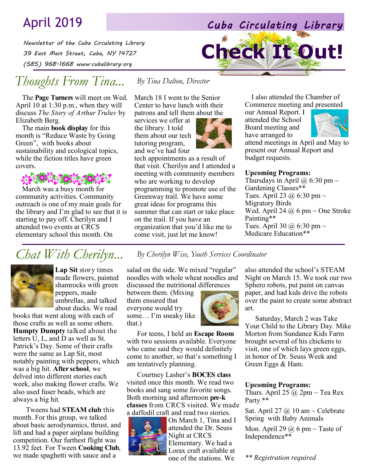# April 2019 *Cuba Circulating Library*

*Newsletter of the Cuba Circulating Library 39 East Main Street, Cuba, NY 14727 (585) 968-1668 www.cubalibrary.org* 

## *Thoughts From Tina...*

The **Page Turners** will meet on Wed. April 10 at 1:30 p.m., when they will discuss *The Story of Arthur Truluv* by Elizabeth Berg.

The main **book display** for this month is "Reduce Waste by Going Green", with books about sustainability and ecological topics, while the fiction titles have green covers.

March was a busy month for community activities. Community outreach is one of my main goals for the library and I'm glad to see that it is starting to pay off. Cherilyn and I attended two events at CRCS elementary school this month. On

March 18 I went to the Senior Center to have lunch with their patrons and tell them about the

*By Tina Dalton, Director*

services we offer at the library. I told them about our tech tutoring program, and we've had four



tech appointments as a result of that visit. Cherilyn and I attended a meeting with community members who are working to develop programming to promote use of the Greenway trail. We have some great ideas for programs this summer that can start or take place on the trail. If you have an organization that you'd like me to come visit, just let me know!

I also attended the Chamber of Commerce meeting and presented

our Annual Report. I attended the School Board meeting and have arranged to

**Check It Out!**



attend meetings in April and May to present our Annual Report and budget requests.

#### **Upcoming Programs:**

Thursdays in April @ 6:30 pm  $\sim$ Gardening Classes\*\* Tues. April 23  $@$  6:30 pm  $\sim$ Migratory Birds Wed. April 24  $\omega$  6 pm  $\sim$  One Stroke Painting\*\* Tues. April 30  $@$  6:30 pm  $\sim$ Medicare Education\*\*

## *Chat With Cherilyn... By Cherilyn Wise, Youth Services Coordinator*



**Lap Sit** story times made flowers, painted shamrocks with green peppers, made umbrellas, and talked about ducks. We read

books that went along with each of those crafts as well as some others. **Humpty Dumpty** talked about the letters U, L, and D as well as St. Patrick's Day. Some of their crafts were the same as Lap Sit, most notably painting with peppers, which was a big hit. **After school**, we delved into different stories each week, also making flower crafts. We also used fuser beads, which are always a big hit.

Tweens had **STEAM club** this month. For this group, we talked about basic aerodynamics, thrust, and lift and had a paper airplane building competition. Our furthest flight was 13.92 feet. For Tween **Cooking Club**, we made spaghetti with sauce and a

salad on the side. We mixed "regular" noodles with whole wheat noodles and discussed the nutritional differences

between them. (Mixing them ensured that everyone would try some… I'm sneaky like that.)



For teens, I held an **Escape Room**  with two sessions available. Everyone who came said they would definitely come to another, so that's something I am tentatively planning.

Courtney Lasher's **BOCES class**  visited once this month. We read two books and sang some favorite songs. Both morning and afternoon **pre-k classes** from CRCS visited. We made a daffodil craft and read two stories.



On March 1, Tina and I attended the Dr. Seuss Night at CRCS Elementary. We had a Lorax craft available at one of the stations. We

also attended the school's STEAM Night on March 15. We took our two Sphero robots, put paint on canvas paper, and had kids drive the robots over the paint to create some abstract art.

Saturday, March 2 was Take Your Child to the Library Day. Mike Morton from Sundance Kids Farm brought several of his chickens to visit, one of which lays green eggs, in honor of Dr. Seuss Week and Green Eggs & Ham.

#### **Upcoming Programs:**

Thurs. April 25  $\omega$  2pm  $\sim$  Tea Rex Party \*\*

Sat. April 27  $\omega$  10 am ~ Celebrate Spring with Baby Animals

Mon. April 29  $@$  6 pm ~ Taste of Independence\*\*

*\*\* Registration required*